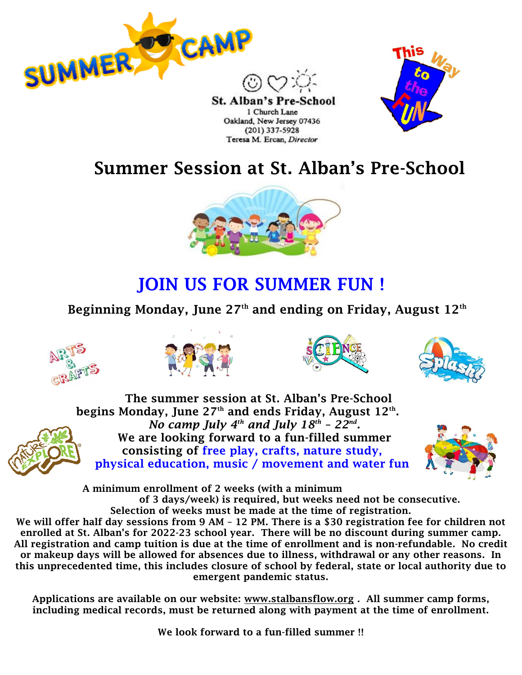

St. Alban's Pre-1 Church Lane Oakland, New Jersey 07436 (201) 337-5928 Teresa M. Ercan, Director



# Summer Session at St. Alban's Pre-School



# JOIN US FOR SUMMER FUN !

### Beginning Monday, June  $27<sup>th</sup>$  and ending on Friday, August  $12<sup>th</sup>$









The summer session at St. Alban's Pre-School begins Monday, June 27th and ends Friday, August  $12^\text{th}$ . *No camp July 4<sup>th</sup> and July 18<sup>th</sup> - 22<sup>nd</sup>.* We are looking forward to a fun-filled summer consisting of free play, crafts, nature study, physical education, music / movement and water fun



A minimum enrollment of 2 weeks (with a minimum of 3 days/week) is required, but weeks need not be consecutive. Selection of weeks must be made at the time of registration.

We will offer half day sessions from 9 AM - 12 PM. There is a \$30 registration fee for children not enrolled at St. Alban's for 2022-23 school year. There will be no discount during summer camp. All registration and camp tuition is due at the time of enrollment and is non-refundable. No credit or makeup days will be allowed for absences due to illness, withdrawal or any other reasons. In this unprecedented time, this includes closure of school by federal, state or local authority due to emergent pandemic status.

Applications are available on our website: [www.stalbansflow.org](http://www.stalbansflow.org/). All summer camp forms, including medical records, must be returned along with payment at the time of enrollment.

We look forward to a fun-filled summer !!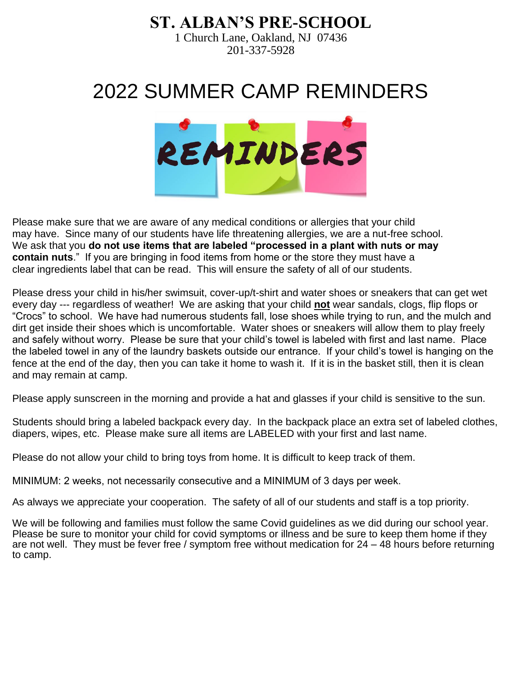### **ST. ALBAN'S PRE-SCHOOL**

1 Church Lane, Oakland, NJ 07436 201-337-5928

# 2022 SUMMER CAMP REMINDERS



Please make sure that we are aware of any medical conditions or allergies that your child may have. Since many of our students have life threatening allergies, we are a nut-free school. We ask that you **do not use items that are labeled "processed in a plant with nuts or may contain nuts**." If you are bringing in food items from home or the store they must have a clear ingredients label that can be read. This will ensure the safety of all of our students.

Please dress your child in his/her swimsuit, cover-up/t-shirt and water shoes or sneakers that can get wet every day --- regardless of weather! We are asking that your child **not** wear sandals, clogs, flip flops or "Crocs" to school. We have had numerous students fall, lose shoes while trying to run, and the mulch and dirt get inside their shoes which is uncomfortable. Water shoes or sneakers will allow them to play freely and safely without worry. Please be sure that your child's towel is labeled with first and last name. Place the labeled towel in any of the laundry baskets outside our entrance. If your child's towel is hanging on the fence at the end of the day, then you can take it home to wash it. If it is in the basket still, then it is clean and may remain at camp.

Please apply sunscreen in the morning and provide a hat and glasses if your child is sensitive to the sun.

Students should bring a labeled backpack every day. In the backpack place an extra set of labeled clothes, diapers, wipes, etc. Please make sure all items are LABELED with your first and last name.

Please do not allow your child to bring toys from home. It is difficult to keep track of them.

MINIMUM: 2 weeks, not necessarily consecutive and a MINIMUM of 3 days per week.

As always we appreciate your cooperation. The safety of all of our students and staff is a top priority.

We will be following and families must follow the same Covid guidelines as we did during our school year. Please be sure to monitor your child for covid symptoms or illness and be sure to keep them home if they are not well. They must be fever free / symptom free without medication for 24 – 48 hours before returning to camp.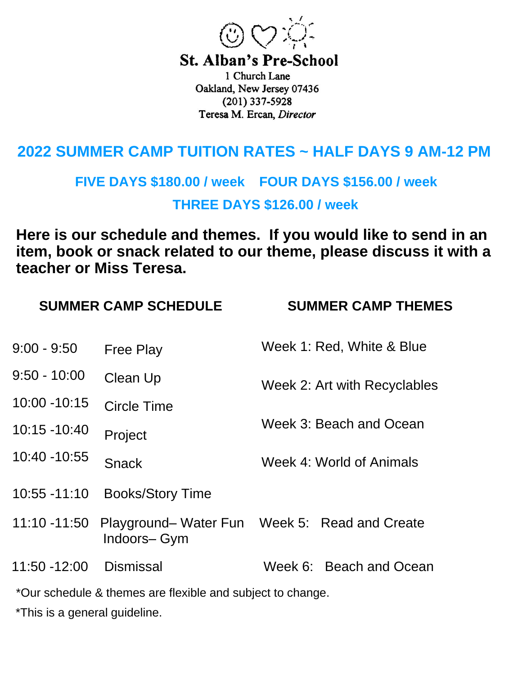

**St. Alban's Pre-School** 

1 Church Lane Oakland, New Jersey 07436  $(201)$  337-5928 Teresa M. Ercan, Director

## **2022 SUMMER CAMP TUITION RATES ~ HALF DAYS 9 AM-12 PM**

## **FIVE DAYS \$180.00 / week FOUR DAYS \$156.00 / week THREE DAYS \$126.00 / week**

**Here is our schedule and themes. If you would like to send in an item, book or snack related to our theme, please discuss it with a teacher or Miss Teresa.** 

|                 | <b>SUMMER CAMP SCHEDULE</b>                                | <b>SUMMER CAMP THEMES</b>                     |  |  |  |  |
|-----------------|------------------------------------------------------------|-----------------------------------------------|--|--|--|--|
| $9:00 - 9:50$   | <b>Free Play</b>                                           | Week 1: Red, White & Blue                     |  |  |  |  |
| $9:50 - 10:00$  | Clean Up                                                   | Week 2: Art with Recyclables                  |  |  |  |  |
| 10:00 - 10:15   | <b>Circle Time</b>                                         |                                               |  |  |  |  |
| 10:15 -10:40    | Project                                                    | Week 3: Beach and Ocean                       |  |  |  |  |
| 10:40 - 10:55   | <b>Snack</b>                                               | Week 4: World of Animals                      |  |  |  |  |
| $10:55 - 11:10$ | <b>Books/Story Time</b>                                    |                                               |  |  |  |  |
| 11:10 -11:50    | Indoors-Gym                                                | Playground– Water Fun Week 5: Read and Create |  |  |  |  |
| 11:50 -12:00    | <b>Dismissal</b>                                           | Week 6: Beach and Ocean                       |  |  |  |  |
|                 | *Our schodule 8, themes are flevible and subject to change |                                               |  |  |  |  |

Our schedule & themes are flexible and subject to change.

\*This is a general guideline.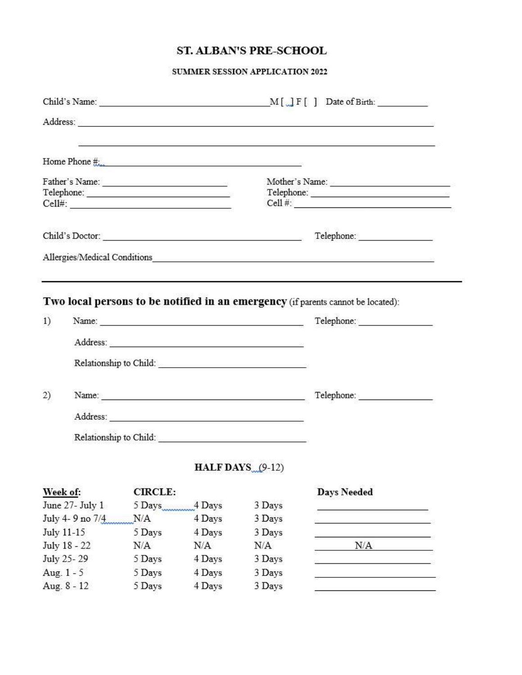### ST. ALBAN'S PRE-SCHOOL

#### SUMMER SESSION APPLICATION 2022

|              |                  |                |        |                           | Address: and the contract of the contract of the contract of the contract of the contract of the contract of the contract of the contract of the contract of the contract of the contract of the contract of the contract of t |  |  |  |
|--------------|------------------|----------------|--------|---------------------------|--------------------------------------------------------------------------------------------------------------------------------------------------------------------------------------------------------------------------------|--|--|--|
|              |                  |                |        | Home Phone $\#$           | 1000 - 1000 - 1000 - 1000 - 1000 - 1000 - 1000 - 1000 - 1000 - 1000 - 1000 - 1000 - 1000 - 1000 - 1000 - 1000 -                                                                                                                |  |  |  |
|              |                  |                |        |                           |                                                                                                                                                                                                                                |  |  |  |
|              |                  |                |        |                           | Telephone: New York School School School School School School School School School School School School School                                                                                                                 |  |  |  |
|              |                  |                |        |                           | Cell #:                                                                                                                                                                                                                        |  |  |  |
|              |                  |                |        |                           |                                                                                                                                                                                                                                |  |  |  |
|              |                  |                |        |                           |                                                                                                                                                                                                                                |  |  |  |
|              |                  |                |        |                           |                                                                                                                                                                                                                                |  |  |  |
| 1)           |                  |                |        | Address:                  |                                                                                                                                                                                                                                |  |  |  |
|              |                  |                |        |                           |                                                                                                                                                                                                                                |  |  |  |
| 2)           |                  |                |        |                           |                                                                                                                                                                                                                                |  |  |  |
|              |                  |                |        |                           |                                                                                                                                                                                                                                |  |  |  |
|              |                  |                |        |                           |                                                                                                                                                                                                                                |  |  |  |
|              |                  |                |        | <b>HALF DAYS</b> $(9-12)$ |                                                                                                                                                                                                                                |  |  |  |
| Week of:     |                  | <b>CIRCLE:</b> |        |                           | <b>Days Needed</b>                                                                                                                                                                                                             |  |  |  |
|              | June 27- July 1  | 5 Days         | 4 Days | 3 Days                    |                                                                                                                                                                                                                                |  |  |  |
|              | July 4- 9 no 7/4 | N/A            | 4 Days | 3 Days                    |                                                                                                                                                                                                                                |  |  |  |
| July 11-15   |                  | 5 Days         | 4 Days | 3 Days                    |                                                                                                                                                                                                                                |  |  |  |
| July 18 - 22 |                  | N/A            | N/A    | N/A                       | N/A                                                                                                                                                                                                                            |  |  |  |
| July 25-29   |                  | 5 Days         | 4 Days | 3 Days                    |                                                                                                                                                                                                                                |  |  |  |
| Aug. 1 - 5   |                  | 5 Days         | 4 Days | 3 Days                    |                                                                                                                                                                                                                                |  |  |  |

4 Days

3 Days

 $\frac{1}{\sqrt{2\pi}}\left(\frac{1}{\sqrt{2\pi}}\right)^{1/2}\left(\frac{1}{\sqrt{2\pi}}\right)^{1/2}$ 

Aug. 8 - 12 5 Days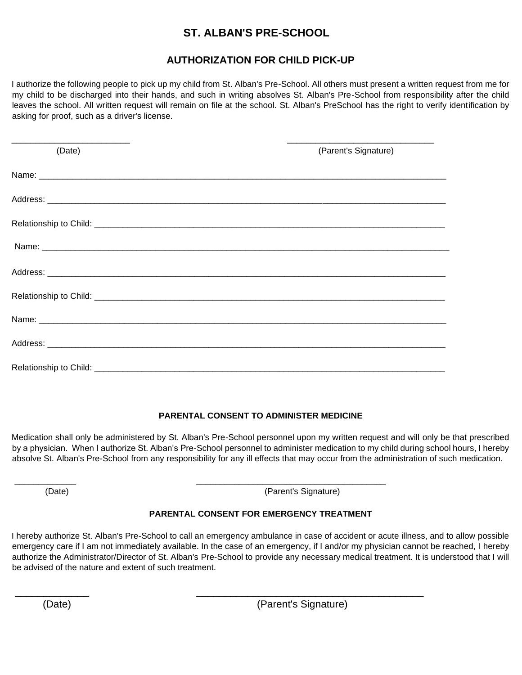### **ST. ALBAN'S PRE-SCHOOL**

### **AUTHORIZATION FOR CHILD PICK-UP**

I authorize the following people to pick up my child from St. Alban's Pre-School. All others must present a written request from me for my child to be discharged into their hands, and such in writing absolves St. Alban's Pre-School from responsibility after the child leaves the school. All written request will remain on file at the school. St. Alban's PreSchool has the right to verify identification by asking for proof, such as a driver's license.

| (Date) | (Parent's Signature) |
|--------|----------------------|
|        |                      |
|        |                      |
|        |                      |
|        |                      |
|        |                      |
|        |                      |
|        |                      |
|        |                      |
|        |                      |

#### **PARENTAL CONSENT TO ADMINISTER MEDICINE**

Medication shall only be administered by St. Alban's Pre-School personnel upon my written request and will only be that prescribed by a physician. When I authorize St. Alban's Pre-School personnel to administer medication to my child during school hours, I hereby absolve St. Alban's Pre-School from any responsibility for any ill effects that may occur from the administration of such medication.

(Date) (Parent's Signature)

#### **PARENTAL CONSENT FOR EMERGENCY TREATMENT**

\_\_\_\_\_\_\_\_\_\_\_\_\_ \_\_\_\_\_\_\_\_\_\_\_\_\_\_\_\_\_\_\_\_\_\_\_\_\_\_\_\_\_\_\_\_\_\_\_\_\_\_\_\_

\_\_\_\_\_\_\_\_\_\_\_\_\_ \_\_\_\_\_\_\_\_\_\_\_\_\_\_\_\_\_\_\_\_\_\_\_\_\_\_\_\_\_\_\_\_\_\_\_\_\_\_\_\_

I hereby authorize St. Alban's Pre-School to call an emergency ambulance in case of accident or acute illness, and to allow possible emergency care if I am not immediately available. In the case of an emergency, if I and/or my physician cannot be reached, I hereby authorize the Administrator/Director of St. Alban's Pre-School to provide any necessary medical treatment. It is understood that I will be advised of the nature and extent of such treatment.

(Date) (Parent's Signature)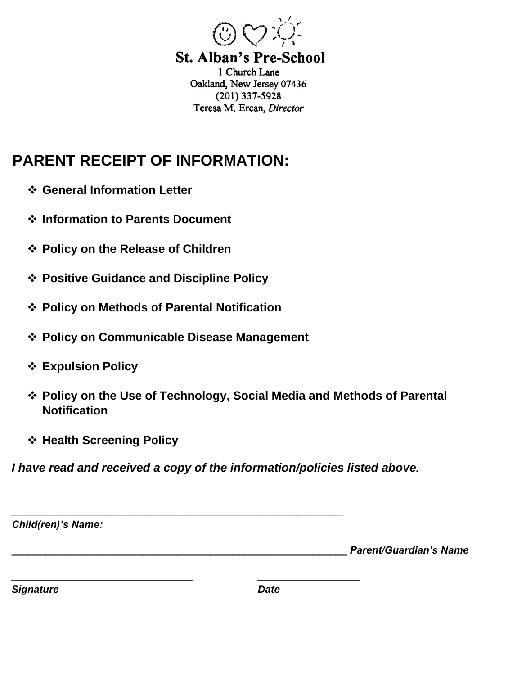

**St. Alban's Pre-School** 1 Church Lane Oakland, New Jersey 07436  $(201)$  337-5928 Teresa M. Ercan, Director

## **PARENT RECEIPT OF INFORMATION:**

- ❖ **General Information Letter**
- ❖ **Information to Parents Document**
- ❖ **Policy on the Release of Children**
- ❖ **Positive Guidance and Discipline Policy**
- ❖ **Policy on Methods of Parental Notification**
- ❖ **Policy on Communicable Disease Management**
- ❖ **Expulsion Policy**
- ❖ **Policy on the Use of Technology, Social Media and Methods of Parental Notification**
- ❖ **Health Screening Policy**

*I have read and received a copy of the information/policies listed above.* 

| <b>Child(ren)'s Name:</b> |             |                               |
|---------------------------|-------------|-------------------------------|
|                           |             | <b>Parent/Guardian's Name</b> |
| <b>Signature</b>          | <b>Date</b> |                               |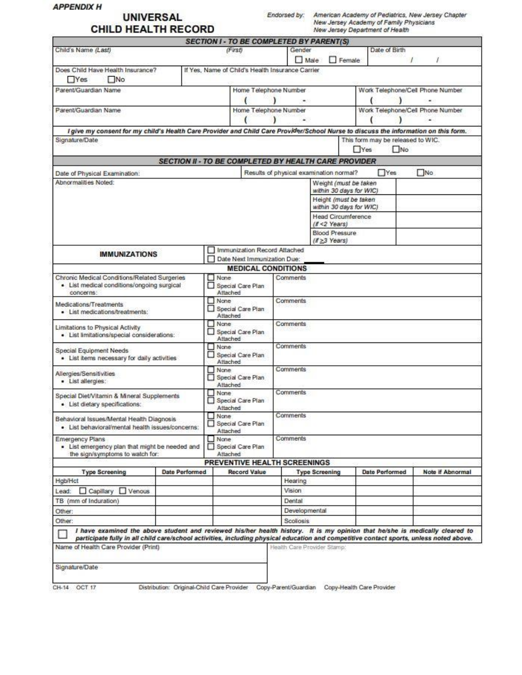|                                                                                                                                                                                                                                                                        |                                                             |                                                     |                                                          |                                                  |                       |                       |                                                 |                                                  | New Jersey Department of Health   |                                  |  |
|------------------------------------------------------------------------------------------------------------------------------------------------------------------------------------------------------------------------------------------------------------------------|-------------------------------------------------------------|-----------------------------------------------------|----------------------------------------------------------|--------------------------------------------------|-----------------------|-----------------------|-------------------------------------------------|--------------------------------------------------|-----------------------------------|----------------------------------|--|
| Child's Name (Last)                                                                                                                                                                                                                                                    |                                                             |                                                     | (First)                                                  |                                                  |                       | Gender                | <b>SECTION I - TO BE COMPLETED BY PARENT(S)</b> |                                                  | Date of Birth                     |                                  |  |
|                                                                                                                                                                                                                                                                        |                                                             |                                                     |                                                          |                                                  |                       | Male<br>$\Box$ Female |                                                 |                                                  |                                   |                                  |  |
| Does Child Have Health Insurance?<br>$\Box$ No<br><b>TYes</b>                                                                                                                                                                                                          |                                                             |                                                     |                                                          | If Yes, Name of Child's Health Insurance Carrier |                       |                       |                                                 |                                                  |                                   |                                  |  |
| Parent/Guardian Name                                                                                                                                                                                                                                                   |                                                             |                                                     |                                                          | Home Telephone Number                            |                       |                       |                                                 |                                                  |                                   | Work Telephone/Cell Phone Number |  |
|                                                                                                                                                                                                                                                                        |                                                             |                                                     |                                                          |                                                  |                       |                       |                                                 |                                                  |                                   |                                  |  |
| Parent/Guardian Name                                                                                                                                                                                                                                                   |                                                             |                                                     |                                                          |                                                  | Home Telephone Number |                       |                                                 |                                                  | Work Telephone/Cell Phone Number  |                                  |  |
| I give my consent for my child's Health Care Provider and Child Care Provider/School Nurse to discuss the information on this form.                                                                                                                                    |                                                             |                                                     |                                                          |                                                  |                       |                       |                                                 |                                                  |                                   |                                  |  |
| Signature/Date                                                                                                                                                                                                                                                         |                                                             |                                                     |                                                          |                                                  |                       |                       |                                                 |                                                  | This form may be released to WIC. |                                  |  |
|                                                                                                                                                                                                                                                                        |                                                             |                                                     |                                                          |                                                  |                       | $N$ o<br><b>TYes</b>  |                                                 |                                                  |                                   |                                  |  |
|                                                                                                                                                                                                                                                                        | <b>SECTION II - TO BE COMPLETED BY HEALTH CARE PROVIDER</b> |                                                     |                                                          |                                                  |                       |                       |                                                 |                                                  |                                   |                                  |  |
| Date of Physical Examination:                                                                                                                                                                                                                                          |                                                             |                                                     |                                                          |                                                  |                       |                       | Results of physical examination normal?         |                                                  | Yes                               | N <sub>0</sub>                   |  |
| Abnormalities Noted:                                                                                                                                                                                                                                                   |                                                             |                                                     |                                                          |                                                  |                       |                       |                                                 | Weight (must be taken                            |                                   |                                  |  |
|                                                                                                                                                                                                                                                                        |                                                             |                                                     |                                                          |                                                  |                       |                       |                                                 | within 30 days for WIC)<br>Height (must be taken |                                   |                                  |  |
|                                                                                                                                                                                                                                                                        |                                                             |                                                     |                                                          |                                                  |                       |                       |                                                 | within 30 days for WIC)                          |                                   |                                  |  |
|                                                                                                                                                                                                                                                                        |                                                             |                                                     |                                                          |                                                  |                       |                       |                                                 | <b>Head Circumference</b>                        |                                   |                                  |  |
|                                                                                                                                                                                                                                                                        |                                                             |                                                     |                                                          |                                                  |                       |                       | $(R < 2$ Years)                                 |                                                  |                                   |                                  |  |
|                                                                                                                                                                                                                                                                        |                                                             |                                                     |                                                          |                                                  |                       |                       | Blood Pressure<br>$(1>3$ Years)                 |                                                  |                                   |                                  |  |
| <b>IMMUNIZATIONS</b>                                                                                                                                                                                                                                                   |                                                             |                                                     |                                                          | Immunization Record Attached                     |                       |                       |                                                 |                                                  |                                   |                                  |  |
|                                                                                                                                                                                                                                                                        |                                                             |                                                     | Date Next Immunization Due:                              |                                                  |                       |                       |                                                 |                                                  |                                   |                                  |  |
|                                                                                                                                                                                                                                                                        |                                                             |                                                     |                                                          | <b>MEDICAL CONDITIONS</b>                        |                       |                       |                                                 |                                                  |                                   |                                  |  |
| Chronic Medical Conditions/Related Surgeries<br>· List medical conditions/ongoing surgical<br>concerns:                                                                                                                                                                |                                                             |                                                     | None<br>Special Care Plan<br>Attached                    | Comments                                         |                       |                       |                                                 |                                                  |                                   |                                  |  |
| Medications/Treatments<br>· List medications/treatments:                                                                                                                                                                                                               |                                                             |                                                     | None<br><b>Comments</b><br>Special Care Plan<br>Attached |                                                  |                       |                       |                                                 |                                                  |                                   |                                  |  |
| Limitations to Physical Activity<br>· List limitations/special considerations:                                                                                                                                                                                         |                                                             |                                                     | $\Box$ None<br>Special Care Plan<br>Attached             |                                                  |                       | Comments              |                                                 |                                                  |                                   |                                  |  |
| Special Equipment Needs<br>. List items necessary for daily activities                                                                                                                                                                                                 |                                                             |                                                     | None                                                     | Special Care Plan                                | <b>Comments</b>       |                       |                                                 |                                                  |                                   |                                  |  |
| Allergies/Sensitivities<br>· List allergies:                                                                                                                                                                                                                           |                                                             |                                                     | Atlached<br>None                                         | Special Care Plan                                | Comments              |                       |                                                 |                                                  |                                   |                                  |  |
| Special Diet/Vitamin & Mineral Supplements<br>· List dietary specifications:                                                                                                                                                                                           |                                                             |                                                     | Attached<br>None<br>Attached                             | Special Care Plan                                | Comments              |                       |                                                 |                                                  |                                   |                                  |  |
| Behavioral Issues/Mental Health Diagnosis<br>· List behavioral/mental health issues/concerns:                                                                                                                                                                          |                                                             |                                                     | None<br>Attached                                         | Special Care Plan                                | Comments              |                       |                                                 |                                                  |                                   |                                  |  |
| Emergency Plans<br>. List emergency plan that might be needed and                                                                                                                                                                                                      |                                                             |                                                     | None                                                     | Special Care Plan                                | Comments              |                       |                                                 |                                                  |                                   |                                  |  |
| the sign/symptoms to watch for:                                                                                                                                                                                                                                        |                                                             |                                                     | Attached                                                 |                                                  |                       |                       |                                                 |                                                  |                                   |                                  |  |
| <b>Date Performed</b><br><b>Type Screening</b>                                                                                                                                                                                                                         |                                                             | PREVENTIVE HEALTH SCREENINGS<br><b>Record Value</b> |                                                          | <b>Type Screening</b>                            |                       |                       | <b>Date Performed</b>                           | Note if Abnormal                                 |                                   |                                  |  |
| <b>Hgb/Hct</b>                                                                                                                                                                                                                                                         |                                                             |                                                     |                                                          |                                                  | Hearing               |                       |                                                 |                                                  |                                   |                                  |  |
| □ Capillary □ Venous<br>Lead:                                                                                                                                                                                                                                          |                                                             |                                                     |                                                          |                                                  | <b>Vision</b>         |                       |                                                 |                                                  |                                   |                                  |  |
| TB (mm of Induration)                                                                                                                                                                                                                                                  |                                                             |                                                     |                                                          |                                                  | Dental                |                       |                                                 |                                                  |                                   |                                  |  |
| Other:                                                                                                                                                                                                                                                                 |                                                             |                                                     |                                                          |                                                  |                       |                       | Developmental                                   |                                                  |                                   |                                  |  |
| Other:                                                                                                                                                                                                                                                                 |                                                             |                                                     |                                                          |                                                  | Scoliosis             |                       |                                                 |                                                  |                                   |                                  |  |
| I have examined the above student and reviewed his/her health history. It is my opinion that he/she is medically cleared to<br>participate fully in all child care/school activities, including physical education and competitive contact sports, unless noted above. |                                                             |                                                     |                                                          |                                                  |                       |                       |                                                 |                                                  |                                   |                                  |  |
| Name of Health Care Provider (Print)                                                                                                                                                                                                                                   |                                                             |                                                     |                                                          |                                                  |                       |                       | Health Care Provider Stamp:                     |                                                  |                                   |                                  |  |

CH-14 OCT 17 Distribution: Original-Child Care Provider Copy-Parent/Guardian Copy-Health Care Provider